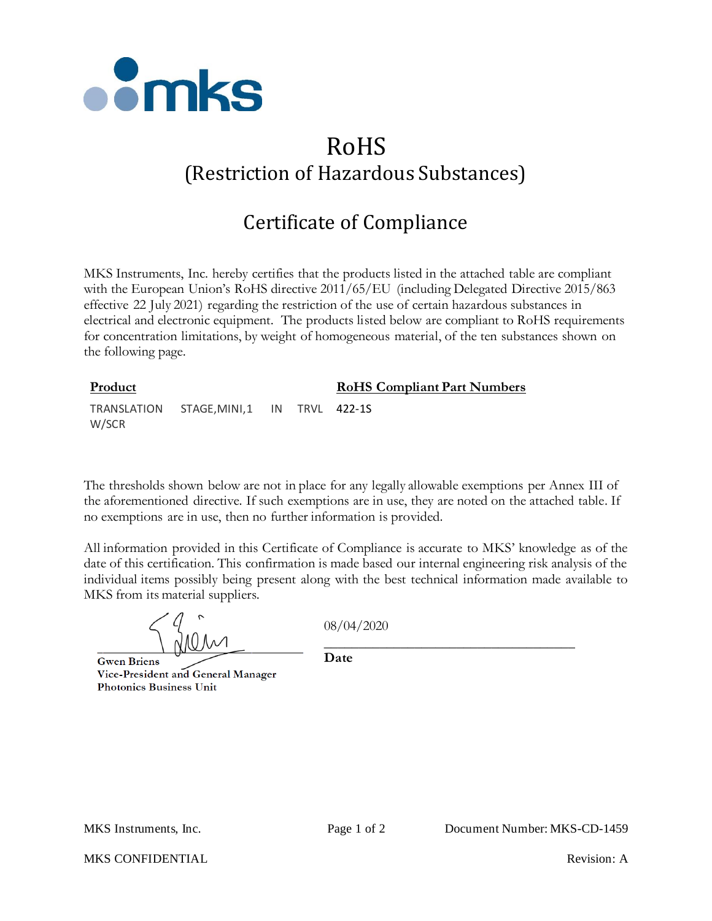

## RoHS (Restriction of Hazardous Substances)

## Certificate of Compliance

MKS Instruments, Inc. hereby certifies that the products listed in the attached table are compliant with the European Union's RoHS directive 2011/65/EU (including Delegated Directive 2015/863 effective 22 July 2021) regarding the restriction of the use of certain hazardous substances in electrical and electronic equipment. The products listed below are compliant to RoHS requirements for concentration limitations, by weight of homogeneous material, of the ten substances shown on the following page.

| Product |                                         |  |  | <b>RoHS</b> Compliant Part Numbers |
|---------|-----------------------------------------|--|--|------------------------------------|
| W/SCR   | TRANSLATION STAGE.MINI.1 IN TRVL 422-1S |  |  |                                    |

The thresholds shown below are not in place for any legally allowable exemptions per Annex III of the aforementioned directive. If such exemptions are in use, they are noted on the attached table. If no exemptions are in use, then no further information is provided.

All information provided in this Certificate of Compliance is accurate to MKS' knowledge as of the date of this certification. This confirmation is made based our internal engineering risk analysis of the individual items possibly being present along with the best technical information made available to MKS from its material suppliers.

08/04/2020

**Gwen Briens** Vice-President and General Manager **Photonics Business Unit** 

\_\_\_\_\_\_\_\_\_\_\_\_\_\_\_\_\_\_\_\_\_\_\_\_\_\_\_\_\_\_\_\_\_\_\_\_ **Date**